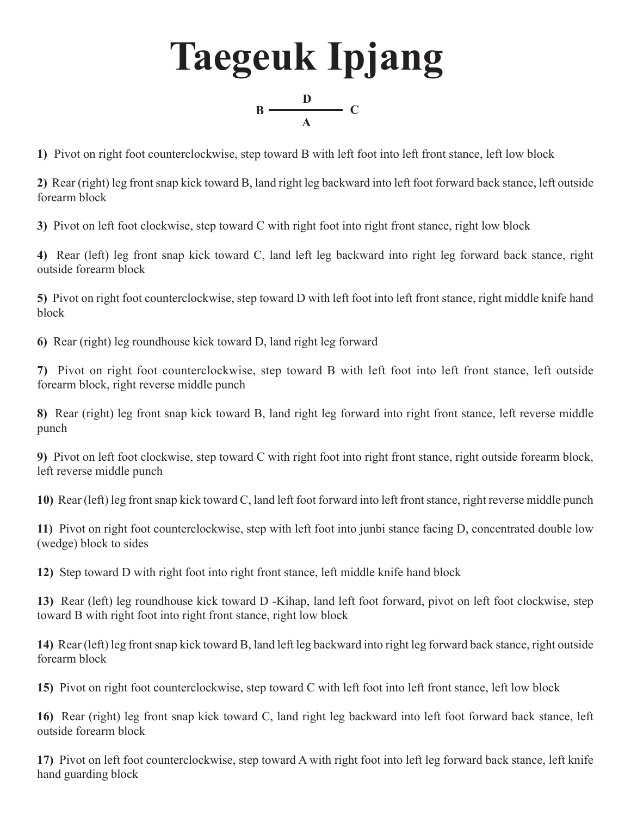

**1)** Pivot on right foot counterclockwise, step toward B with left foot into left front stance, left low block

**2)** Rear (right) leg front snap kick toward B, land right leg backward into left foot forward back stance, left outside forearm block

**3)** Pivot on left foot clockwise, step toward C with right foot into right front stance, right low block

**4)** Rear (left) leg front snap kick toward C, land left leg backward into right leg forward back stance, right outside forearm block

**5)** Pivot on right foot counterclockwise, step toward D with left foot into left front stance, right middle knife hand block

**6)** Rear (right) leg roundhouse kick toward D, land right leg forward

**7)** Pivot on right foot counterclockwise, step toward B with left foot into left front stance, left outside forearm block, right reverse middle punch

**8)** Rear (right) leg front snap kick toward B, land right leg forward into right front stance, left reverse middle punch

**9)** Pivot on left foot clockwise, step toward C with right foot into right front stance, right outside forearm block, left reverse middle punch

**10)** Rear (left) leg front snap kick toward C, land left foot forward into left front stance, right reverse middle punch

**11)** Pivot on right foot counterclockwise, step with left foot into junbi stance facing D, concentrated double low (wedge) block to sides

**12)** Step toward D with right foot into right front stance, left middle knife hand block

**13)** Rear (left) leg roundhouse kick toward D -Kihap, land left foot forward, pivot on left foot clockwise, step toward B with right foot into right front stance, right low block

**14)** Rear (left) leg front snap kick toward B, land left leg backward into right leg forward back stance, right outside forearm block

**15)** Pivot on right foot counterclockwise, step toward C with left foot into left front stance, left low block

**16)** Rear (right) leg front snap kick toward C, land right leg backward into left foot forward back stance, left outside forearm block

**17)** Pivot on left foot counterclockwise, step toward A with right foot into left leg forward back stance, left knife hand guarding block